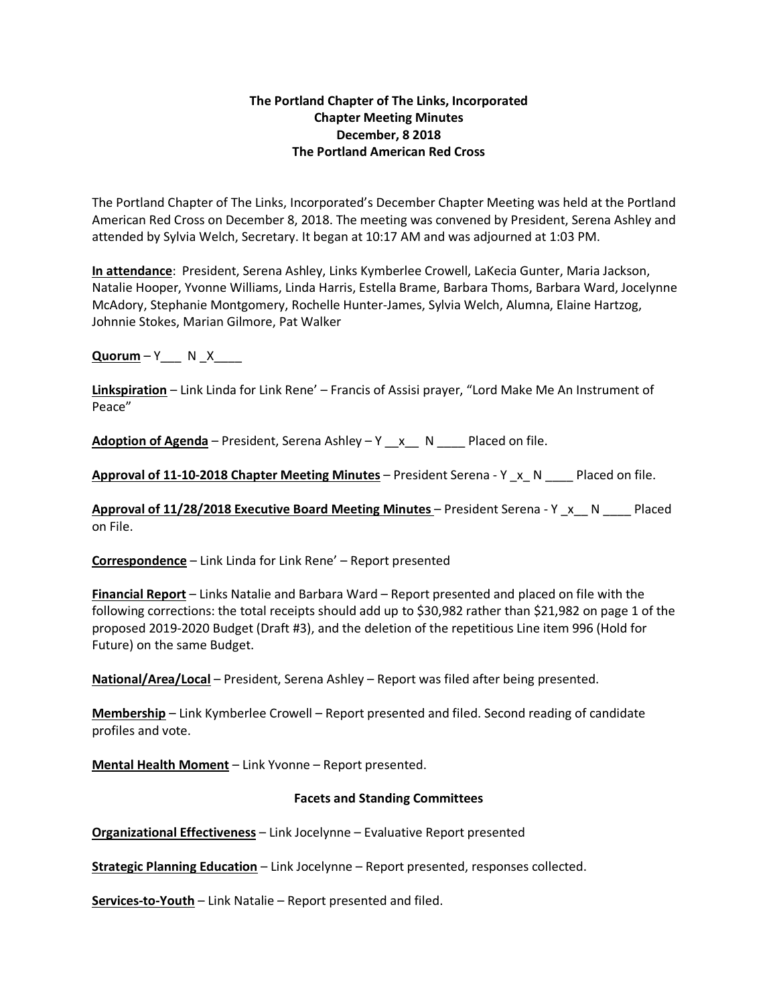## **The Portland Chapter of The Links, Incorporated Chapter Meeting Minutes December, 8 2018 The Portland American Red Cross**

The Portland Chapter of The Links, Incorporated's December Chapter Meeting was held at the Portland American Red Cross on December 8, 2018. The meeting was convened by President, Serena Ashley and attended by Sylvia Welch, Secretary. It began at 10:17 AM and was adjourned at 1:03 PM.

**In attendance**: President, Serena Ashley, Links Kymberlee Crowell, LaKecia Gunter, Maria Jackson, Natalie Hooper, Yvonne Williams, Linda Harris, Estella Brame, Barbara Thoms, Barbara Ward, Jocelynne McAdory, Stephanie Montgomery, Rochelle Hunter-James, Sylvia Welch, Alumna, Elaine Hartzog, Johnnie Stokes, Marian Gilmore, Pat Walker

**Quorum** – Y \_\_\_ N \_X \_\_\_

**Linkspiration** – Link Linda for Link Rene' – Francis of Assisi prayer, "Lord Make Me An Instrument of Peace"

**Adoption of Agenda** – President, Serena Ashley – Y \_\_x\_\_ N \_\_\_\_ Placed on file.

**Approval of 11-10-2018 Chapter Meeting Minutes** – President Serena - Y \_x\_ N \_\_\_\_ Placed on file.

**Approval of 11/28/2018 Executive Board Meeting Minutes** – President Serena - Y \_x\_\_ N \_\_\_\_ Placed on File.

**Correspondence** – Link Linda for Link Rene' – Report presented

**Financial Report** – Links Natalie and Barbara Ward – Report presented and placed on file with the following corrections: the total receipts should add up to \$30,982 rather than \$21,982 on page 1 of the proposed 2019-2020 Budget (Draft #3), and the deletion of the repetitious Line item 996 (Hold for Future) on the same Budget.

**National/Area/Local** – President, Serena Ashley – Report was filed after being presented.

**Membership** – Link Kymberlee Crowell – Report presented and filed. Second reading of candidate profiles and vote.

**Mental Health Moment** – Link Yvonne – Report presented.

## **Facets and Standing Committees**

**Organizational Effectiveness** – Link Jocelynne – Evaluative Report presented

**Strategic Planning Education** – Link Jocelynne – Report presented, responses collected.

**Services-to-Youth** – Link Natalie – Report presented and filed.